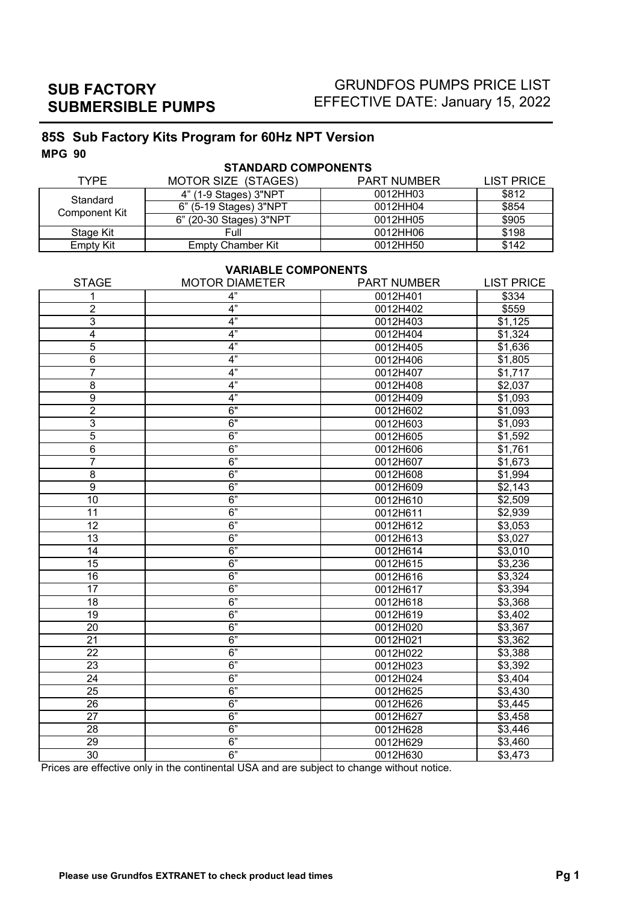# GRUNDFOS PUMPS PRICE LIST EFFECTIVE DATE: January 15, 2022

## **85S Sub Factory Kits Program for 60Hz NPT Version MPG 90**

| <b>STANDARD COMPONENTS</b> |                          |                    |                   |  |
|----------------------------|--------------------------|--------------------|-------------------|--|
| <b>TYPF</b>                | MOTOR SIZE (STAGES)      | <b>PART NUMBER</b> | <b>LIST PRICE</b> |  |
| Standard                   | 4" (1-9 Stages) 3"NPT    | 0012HH03           | \$812             |  |
| Component Kit              | 6" (5-19 Stages) 3"NPT   | 0012HH04           | \$854             |  |
|                            | 6" (20-30 Stages) 3"NPT  | 0012HH05           | \$905             |  |
| Stage Kit                  | Full                     | 0012HH06           | \$198             |  |
| Empty Kit                  | <b>Empty Chamber Kit</b> | 0012HH50           | \$142             |  |

## **VARIABLE COMPONENTS**

| 4"<br>0012H401<br>\$334<br>1<br>$\overline{c}$<br>0012H402<br>4"<br>\$559<br>4"<br>3<br>\$1,125<br>0012H403<br>4"<br>$\overline{4}$<br>0012H404<br>\$1,324<br>5<br>4"<br>0012H405<br>\$1,636<br>4"<br>6<br>0012H406<br>\$1,805<br>$\overline{7}$<br>4"<br>\$1,717<br>0012H407<br>4"<br>8<br>0012H408<br>\$2,037<br>4"<br>$\overline{9}$<br>\$1,093<br>0012H409<br>$\overline{2}$<br>6"<br>0012H602<br>\$1,093<br>$\overline{3}$<br>6"<br>0012H603<br>\$1,093<br>5<br>6"<br>0012H605<br>\$1,592<br>6"<br>6<br>\$1,761<br>0012H606<br>$\overline{7}$<br>6"<br>0012H607<br>\$1,673<br>6"<br>\$1,994<br>8<br>0012H608<br>6"<br>$\overline{9}$<br>\$2,143<br>0012H609<br>6"<br>$\overline{10}$<br>\$2,509<br>0012H610<br>6"<br>$\overline{11}$<br>\$2,939<br>0012H611<br>$\overline{12}$<br>6"<br>\$3,053<br>0012H612<br>6"<br>$\overline{13}$<br>0012H613<br>\$3,027<br>6"<br>14<br>0012H614<br>\$3,010<br>6"<br>15<br>\$3,236<br>0012H615<br>6"<br>$\overline{16}$<br>0012H616<br>\$3,324<br>6"<br>$\overline{17}$<br>\$3,394<br>0012H617<br>6"<br>18<br>0012H618<br>\$3,368<br>6"<br>19<br>$\overline{0012}$ H619<br>\$3,402<br>6"<br>\$3,367<br>20<br>0012H020<br>6"<br>21<br>0012H021<br>\$3,362<br>6"<br>$\overline{22}$<br>\$3,388<br>0012H022<br>23<br>6"<br>\$3,392<br>0012H023<br>$\overline{24}$<br>6"<br>0012H024<br>\$3,404<br>6"<br>$\overline{25}$<br>0012H625<br>\$3,430<br>6"<br>26<br>0012H626<br>$\sqrt{$3,445}$<br>6"<br>27<br>0012H627<br>\$3,458<br>6"<br>28<br>\$3,446<br>0012H628<br>6"<br>$\overline{29}$<br>0012H629<br>\$3,460<br>6" | <b>STAGE</b>    | <b>MOTOR DIAMETER</b> | <b>PART NUMBER</b> | <b>LIST PRICE</b> |
|------------------------------------------------------------------------------------------------------------------------------------------------------------------------------------------------------------------------------------------------------------------------------------------------------------------------------------------------------------------------------------------------------------------------------------------------------------------------------------------------------------------------------------------------------------------------------------------------------------------------------------------------------------------------------------------------------------------------------------------------------------------------------------------------------------------------------------------------------------------------------------------------------------------------------------------------------------------------------------------------------------------------------------------------------------------------------------------------------------------------------------------------------------------------------------------------------------------------------------------------------------------------------------------------------------------------------------------------------------------------------------------------------------------------------------------------------------------------------------------------------------------------------------------------------------|-----------------|-----------------------|--------------------|-------------------|
|                                                                                                                                                                                                                                                                                                                                                                                                                                                                                                                                                                                                                                                                                                                                                                                                                                                                                                                                                                                                                                                                                                                                                                                                                                                                                                                                                                                                                                                                                                                                                            |                 |                       |                    |                   |
|                                                                                                                                                                                                                                                                                                                                                                                                                                                                                                                                                                                                                                                                                                                                                                                                                                                                                                                                                                                                                                                                                                                                                                                                                                                                                                                                                                                                                                                                                                                                                            |                 |                       |                    |                   |
|                                                                                                                                                                                                                                                                                                                                                                                                                                                                                                                                                                                                                                                                                                                                                                                                                                                                                                                                                                                                                                                                                                                                                                                                                                                                                                                                                                                                                                                                                                                                                            |                 |                       |                    |                   |
|                                                                                                                                                                                                                                                                                                                                                                                                                                                                                                                                                                                                                                                                                                                                                                                                                                                                                                                                                                                                                                                                                                                                                                                                                                                                                                                                                                                                                                                                                                                                                            |                 |                       |                    |                   |
|                                                                                                                                                                                                                                                                                                                                                                                                                                                                                                                                                                                                                                                                                                                                                                                                                                                                                                                                                                                                                                                                                                                                                                                                                                                                                                                                                                                                                                                                                                                                                            |                 |                       |                    |                   |
|                                                                                                                                                                                                                                                                                                                                                                                                                                                                                                                                                                                                                                                                                                                                                                                                                                                                                                                                                                                                                                                                                                                                                                                                                                                                                                                                                                                                                                                                                                                                                            |                 |                       |                    |                   |
|                                                                                                                                                                                                                                                                                                                                                                                                                                                                                                                                                                                                                                                                                                                                                                                                                                                                                                                                                                                                                                                                                                                                                                                                                                                                                                                                                                                                                                                                                                                                                            |                 |                       |                    |                   |
|                                                                                                                                                                                                                                                                                                                                                                                                                                                                                                                                                                                                                                                                                                                                                                                                                                                                                                                                                                                                                                                                                                                                                                                                                                                                                                                                                                                                                                                                                                                                                            |                 |                       |                    |                   |
|                                                                                                                                                                                                                                                                                                                                                                                                                                                                                                                                                                                                                                                                                                                                                                                                                                                                                                                                                                                                                                                                                                                                                                                                                                                                                                                                                                                                                                                                                                                                                            |                 |                       |                    |                   |
|                                                                                                                                                                                                                                                                                                                                                                                                                                                                                                                                                                                                                                                                                                                                                                                                                                                                                                                                                                                                                                                                                                                                                                                                                                                                                                                                                                                                                                                                                                                                                            |                 |                       |                    |                   |
|                                                                                                                                                                                                                                                                                                                                                                                                                                                                                                                                                                                                                                                                                                                                                                                                                                                                                                                                                                                                                                                                                                                                                                                                                                                                                                                                                                                                                                                                                                                                                            |                 |                       |                    |                   |
|                                                                                                                                                                                                                                                                                                                                                                                                                                                                                                                                                                                                                                                                                                                                                                                                                                                                                                                                                                                                                                                                                                                                                                                                                                                                                                                                                                                                                                                                                                                                                            |                 |                       |                    |                   |
|                                                                                                                                                                                                                                                                                                                                                                                                                                                                                                                                                                                                                                                                                                                                                                                                                                                                                                                                                                                                                                                                                                                                                                                                                                                                                                                                                                                                                                                                                                                                                            |                 |                       |                    |                   |
|                                                                                                                                                                                                                                                                                                                                                                                                                                                                                                                                                                                                                                                                                                                                                                                                                                                                                                                                                                                                                                                                                                                                                                                                                                                                                                                                                                                                                                                                                                                                                            |                 |                       |                    |                   |
|                                                                                                                                                                                                                                                                                                                                                                                                                                                                                                                                                                                                                                                                                                                                                                                                                                                                                                                                                                                                                                                                                                                                                                                                                                                                                                                                                                                                                                                                                                                                                            |                 |                       |                    |                   |
|                                                                                                                                                                                                                                                                                                                                                                                                                                                                                                                                                                                                                                                                                                                                                                                                                                                                                                                                                                                                                                                                                                                                                                                                                                                                                                                                                                                                                                                                                                                                                            |                 |                       |                    |                   |
|                                                                                                                                                                                                                                                                                                                                                                                                                                                                                                                                                                                                                                                                                                                                                                                                                                                                                                                                                                                                                                                                                                                                                                                                                                                                                                                                                                                                                                                                                                                                                            |                 |                       |                    |                   |
|                                                                                                                                                                                                                                                                                                                                                                                                                                                                                                                                                                                                                                                                                                                                                                                                                                                                                                                                                                                                                                                                                                                                                                                                                                                                                                                                                                                                                                                                                                                                                            |                 |                       |                    |                   |
|                                                                                                                                                                                                                                                                                                                                                                                                                                                                                                                                                                                                                                                                                                                                                                                                                                                                                                                                                                                                                                                                                                                                                                                                                                                                                                                                                                                                                                                                                                                                                            |                 |                       |                    |                   |
|                                                                                                                                                                                                                                                                                                                                                                                                                                                                                                                                                                                                                                                                                                                                                                                                                                                                                                                                                                                                                                                                                                                                                                                                                                                                                                                                                                                                                                                                                                                                                            |                 |                       |                    |                   |
|                                                                                                                                                                                                                                                                                                                                                                                                                                                                                                                                                                                                                                                                                                                                                                                                                                                                                                                                                                                                                                                                                                                                                                                                                                                                                                                                                                                                                                                                                                                                                            |                 |                       |                    |                   |
|                                                                                                                                                                                                                                                                                                                                                                                                                                                                                                                                                                                                                                                                                                                                                                                                                                                                                                                                                                                                                                                                                                                                                                                                                                                                                                                                                                                                                                                                                                                                                            |                 |                       |                    |                   |
|                                                                                                                                                                                                                                                                                                                                                                                                                                                                                                                                                                                                                                                                                                                                                                                                                                                                                                                                                                                                                                                                                                                                                                                                                                                                                                                                                                                                                                                                                                                                                            |                 |                       |                    |                   |
|                                                                                                                                                                                                                                                                                                                                                                                                                                                                                                                                                                                                                                                                                                                                                                                                                                                                                                                                                                                                                                                                                                                                                                                                                                                                                                                                                                                                                                                                                                                                                            |                 |                       |                    |                   |
|                                                                                                                                                                                                                                                                                                                                                                                                                                                                                                                                                                                                                                                                                                                                                                                                                                                                                                                                                                                                                                                                                                                                                                                                                                                                                                                                                                                                                                                                                                                                                            |                 |                       |                    |                   |
|                                                                                                                                                                                                                                                                                                                                                                                                                                                                                                                                                                                                                                                                                                                                                                                                                                                                                                                                                                                                                                                                                                                                                                                                                                                                                                                                                                                                                                                                                                                                                            |                 |                       |                    |                   |
|                                                                                                                                                                                                                                                                                                                                                                                                                                                                                                                                                                                                                                                                                                                                                                                                                                                                                                                                                                                                                                                                                                                                                                                                                                                                                                                                                                                                                                                                                                                                                            |                 |                       |                    |                   |
|                                                                                                                                                                                                                                                                                                                                                                                                                                                                                                                                                                                                                                                                                                                                                                                                                                                                                                                                                                                                                                                                                                                                                                                                                                                                                                                                                                                                                                                                                                                                                            |                 |                       |                    |                   |
|                                                                                                                                                                                                                                                                                                                                                                                                                                                                                                                                                                                                                                                                                                                                                                                                                                                                                                                                                                                                                                                                                                                                                                                                                                                                                                                                                                                                                                                                                                                                                            |                 |                       |                    |                   |
|                                                                                                                                                                                                                                                                                                                                                                                                                                                                                                                                                                                                                                                                                                                                                                                                                                                                                                                                                                                                                                                                                                                                                                                                                                                                                                                                                                                                                                                                                                                                                            |                 |                       |                    |                   |
|                                                                                                                                                                                                                                                                                                                                                                                                                                                                                                                                                                                                                                                                                                                                                                                                                                                                                                                                                                                                                                                                                                                                                                                                                                                                                                                                                                                                                                                                                                                                                            |                 |                       |                    |                   |
|                                                                                                                                                                                                                                                                                                                                                                                                                                                                                                                                                                                                                                                                                                                                                                                                                                                                                                                                                                                                                                                                                                                                                                                                                                                                                                                                                                                                                                                                                                                                                            |                 |                       |                    |                   |
|                                                                                                                                                                                                                                                                                                                                                                                                                                                                                                                                                                                                                                                                                                                                                                                                                                                                                                                                                                                                                                                                                                                                                                                                                                                                                                                                                                                                                                                                                                                                                            |                 |                       |                    |                   |
|                                                                                                                                                                                                                                                                                                                                                                                                                                                                                                                                                                                                                                                                                                                                                                                                                                                                                                                                                                                                                                                                                                                                                                                                                                                                                                                                                                                                                                                                                                                                                            |                 |                       |                    |                   |
|                                                                                                                                                                                                                                                                                                                                                                                                                                                                                                                                                                                                                                                                                                                                                                                                                                                                                                                                                                                                                                                                                                                                                                                                                                                                                                                                                                                                                                                                                                                                                            |                 |                       |                    |                   |
|                                                                                                                                                                                                                                                                                                                                                                                                                                                                                                                                                                                                                                                                                                                                                                                                                                                                                                                                                                                                                                                                                                                                                                                                                                                                                                                                                                                                                                                                                                                                                            |                 |                       |                    |                   |
|                                                                                                                                                                                                                                                                                                                                                                                                                                                                                                                                                                                                                                                                                                                                                                                                                                                                                                                                                                                                                                                                                                                                                                                                                                                                                                                                                                                                                                                                                                                                                            |                 |                       |                    |                   |
|                                                                                                                                                                                                                                                                                                                                                                                                                                                                                                                                                                                                                                                                                                                                                                                                                                                                                                                                                                                                                                                                                                                                                                                                                                                                                                                                                                                                                                                                                                                                                            | $\overline{30}$ |                       | 0012H630           | \$3,473           |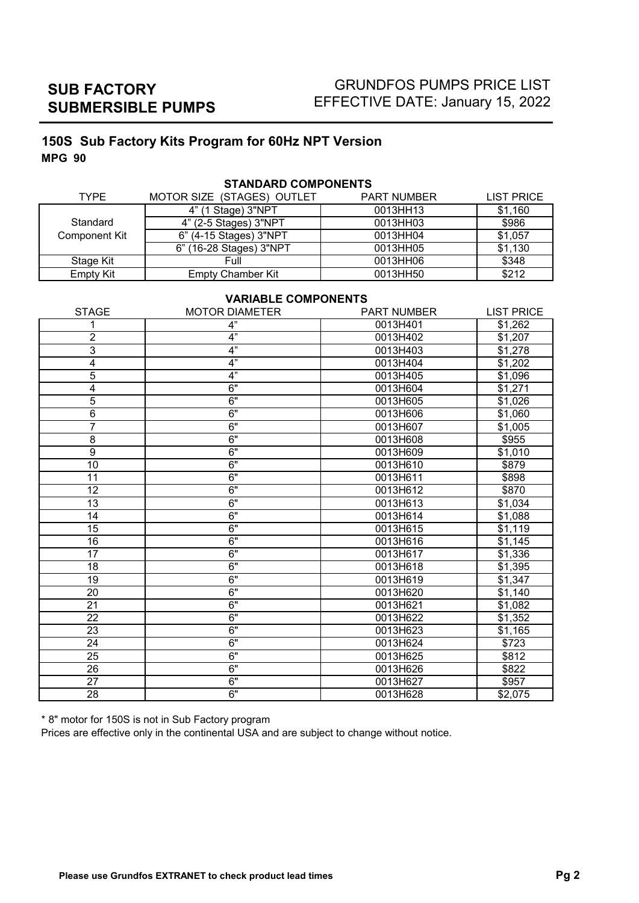# GRUNDFOS PUMPS PRICE LIST EFFECTIVE DATE: January 15, 2022

# **150S Sub Factory Kits Program for 60Hz NPT Version MPG 90**

|                  | 9 LANUAN YUUNI UNLIVIU     |                    |                   |
|------------------|----------------------------|--------------------|-------------------|
| <b>TYPE</b>      | MOTOR SIZE (STAGES) OUTLET | <b>PART NUMBER</b> | <b>LIST PRICE</b> |
|                  | 4" (1 Stage) 3"NPT         | 0013HH13           | \$1,160           |
| Standard         | 4" (2-5 Stages) 3"NPT      | 0013HH03           | \$986             |
| Component Kit    | 6" (4-15 Stages) 3"NPT     | 0013HH04           | \$1,057           |
|                  | 6" (16-28 Stages) 3"NPT    | 0013HH05           | \$1,130           |
| Stage Kit        | Full                       | 0013HH06           | \$348             |
| <b>Empty Kit</b> | Empty Chamber Kit          | 0013HH50           | \$212             |
|                  |                            |                    |                   |

# **STANDARD COMPONENTS**

### **VARIABLE COMPONENTS**

| <b>STAGE</b>    | <b>MOTOR DIAMETER</b> | <b>PART NUMBER</b> | <b>LIST PRICE</b> |
|-----------------|-----------------------|--------------------|-------------------|
| 1               | 4"                    | 0013H401           | \$1,262           |
| $\overline{c}$  | 4"                    | 0013H402           | \$1,207           |
| 3               | 4"                    | 0013H403           | \$1,278           |
| 4               | $\overline{4}$        | 0013H404           | \$1,202           |
| 5               | 4"                    | 0013H405           | \$1,096           |
| 4               | 6"                    | 0013H604           | \$1,271           |
| 5               | 6"                    | 0013H605           | \$1,026           |
| 6               | 6"                    | 0013H606           | \$1,060           |
| 7               | 6"                    | 0013H607           | \$1,005           |
| $\overline{8}$  | 6"                    | 0013H608           | \$955             |
| $\overline{9}$  | 6"                    | 0013H609           | \$1,010           |
| $\overline{10}$ | 6"                    | 0013H610           | \$879             |
| 11              | 6"                    | 0013H611           | \$898             |
| $\overline{12}$ | 6"                    | 0013H612           | \$870             |
| $\overline{13}$ | 6"                    | 0013H613           | \$1,034           |
| 14              | 6"                    | 0013H614           | \$1,088           |
| $\overline{15}$ | 6"                    | 0013H615           | \$1,119           |
| $\overline{16}$ | 6"                    | 0013H616           | \$1,145           |
| $\overline{17}$ | 6"                    | 0013H617           | \$1,336           |
| 18              | 6"                    | 0013H618           | \$1,395           |
| 19              | 6"                    | 0013H619           | \$1,347           |
| $\overline{20}$ | 6"                    | 0013H620           | \$1,140           |
| 21              | 6"                    | 0013H621           | \$1,082           |
| $\overline{22}$ | 6"                    | 0013H622           | \$1,352           |
| 23              | 6"                    | 0013H623           | \$1,165           |
| $\overline{24}$ | 6"                    | 0013H624           | \$723             |
| 25              | 6"                    | 0013H625           | \$812             |
| 26              | 6"                    | 0013H626           | \$822             |
| 27              | 6"                    | 0013H627           | \$957             |
| $\overline{28}$ | 6"                    | 0013H628           | \$2,075           |

\* 8" motor for 150S is not in Sub Factory program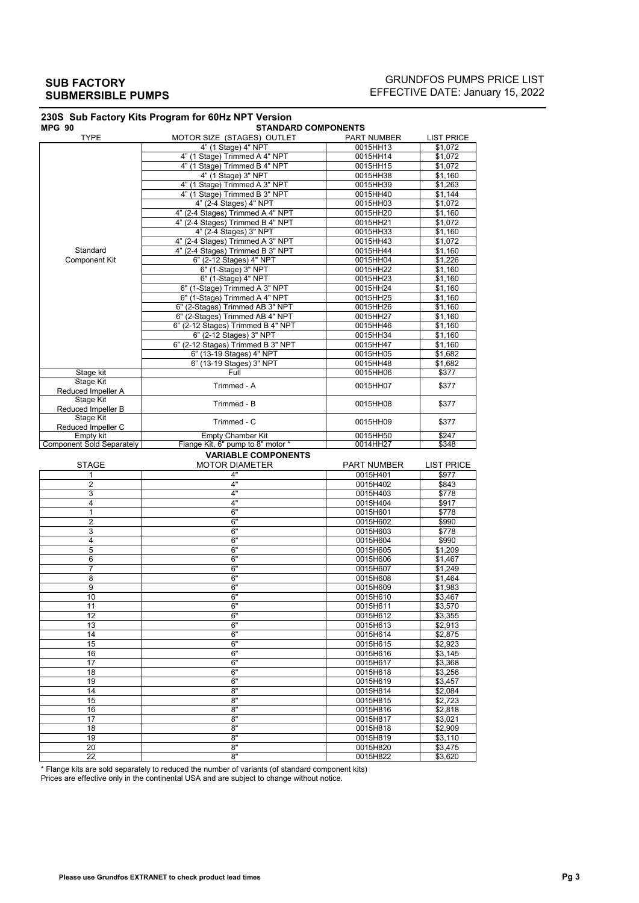### GRUNDFOS PUMPS PRICE LIST EFFECTIVE DATE: January 15, 2022

| <b>MPG 90</b>                                 | <b>STANDARD COMPONENTS</b>        |                      |                                                                                                            |
|-----------------------------------------------|-----------------------------------|----------------------|------------------------------------------------------------------------------------------------------------|
| <b>TYPE</b>                                   | MOTOR SIZE (STAGES) OUTLET        | <b>PART NUMBER</b>   | <b>LIST PRICE</b>                                                                                          |
|                                               | 4" (1 Stage) 4" NPT               | 0015HH13             | \$1,072                                                                                                    |
|                                               | 4" (1 Stage) Trimmed A 4" NPT     | 0015HH14             | \$1,072                                                                                                    |
|                                               | 4" (1 Stage) Trimmed B 4" NPT     | 0015HH15             | \$1,072                                                                                                    |
|                                               | 4" (1 Stage) 3" NPT               | 0015HH38             | \$1,160                                                                                                    |
|                                               | 4" (1 Stage) Trimmed A 3" NPT     | 0015HH39             | \$1,263                                                                                                    |
|                                               | 4" (1 Stage) Trimmed B 3" NPT     | 0015HH40             | \$1,144                                                                                                    |
|                                               | 4" (2-4 Stages) 4" NPT            | 0015HH03             | \$1,072                                                                                                    |
|                                               | 4" (2-4 Stages) Trimmed A 4" NPT  | 0015HH20             | \$1,160                                                                                                    |
|                                               | 4" (2-4 Stages) Trimmed B 4" NPT  | 0015HH21             | \$1,072                                                                                                    |
|                                               | 4" (2-4 Stages) 3" NPT            | 0015HH33             | \$1,160                                                                                                    |
|                                               | 4" (2-4 Stages) Trimmed A 3" NPT  | 0015HH43             | \$1,072                                                                                                    |
| Standard                                      | 4" (2-4 Stages) Trimmed B 3" NPT  | 0015HH44             | \$1,160                                                                                                    |
| <b>Component Kit</b>                          | 6" (2-12 Stages) 4" NPT           | 0015HH04             | \$1,226                                                                                                    |
|                                               | 6" (1-Stage) 3" NPT               | 0015HH22             | \$1,160                                                                                                    |
|                                               |                                   |                      |                                                                                                            |
|                                               | 6" (1-Stage) 4" NPT               | 0015HH23             | \$1,160                                                                                                    |
|                                               | 6" (1-Stage) Trimmed A 3" NPT     | 0015HH24             | \$1,160                                                                                                    |
|                                               | 6" (1-Stage) Trimmed A 4" NPT     | 0015HH25             | \$1,160                                                                                                    |
|                                               | 6" (2-Stages) Trimmed AB 3" NPT   | 0015HH26             | \$1,160                                                                                                    |
|                                               | 6" (2-Stages) Trimmed AB 4" NPT   | 0015HH27             | \$1,160                                                                                                    |
|                                               | 6" (2-12 Stages) Trimmed B 4" NPT | 0015HH46             | \$1,160                                                                                                    |
|                                               | 6" (2-12 Stages) 3" NPT           | 0015HH34             | \$1,160                                                                                                    |
|                                               | 6" (2-12 Stages) Trimmed B 3" NPT | 0015HH47             | \$1,160                                                                                                    |
|                                               | 6" (13-19 Stages) 4" NPT          | 0015HH05             | \$1,682                                                                                                    |
|                                               | 6" (13-19 Stages) 3" NPT          | 0015HH48             | \$1,682                                                                                                    |
| Stage kit                                     | Full                              | 0015HH06             | \$377                                                                                                      |
| Stage Kit                                     |                                   |                      |                                                                                                            |
| Reduced Impeller A                            | Trimmed - A                       | 0015HH07             | \$377                                                                                                      |
| <b>Stage Kit</b>                              |                                   |                      |                                                                                                            |
|                                               | Trimmed - B                       | 0015HH08             | \$377                                                                                                      |
| Reduced Impeller B<br><b>Stage Kit</b>        |                                   |                      |                                                                                                            |
|                                               | Trimmed - C                       | 0015HH09             | \$377                                                                                                      |
| Reduced Impeller C                            |                                   | 0015HH50             | \$247                                                                                                      |
| Empty kit<br><b>Component Sold Separately</b> | <b>Empty Chamber Kit</b>          | 0014HH27             | \$348                                                                                                      |
|                                               | Flange Kit, 6" pump to 8" motor * |                      |                                                                                                            |
|                                               | <b>VARIABLE COMPONENTS</b>        |                      |                                                                                                            |
| <b>STAGE</b>                                  | <b>MOTOR DIAMETER</b>             | <b>PART NUMBER</b>   | <b>LIST PRICE</b>                                                                                          |
| 1                                             | 4"                                | 0015H401             | \$977                                                                                                      |
| $\overline{2}$                                | 4"                                | 0015H402             | \$843                                                                                                      |
| 3                                             | 4"                                | 0015H403             | \$778                                                                                                      |
| 4                                             | 4"                                | 0015H404             | \$917                                                                                                      |
| 1                                             | 6"                                | 0015H601             | \$778                                                                                                      |
| $\overline{2}$                                | 6"                                | 0015H602             | \$990                                                                                                      |
| 3                                             | 6"                                | 0015H603             | \$778                                                                                                      |
| 4                                             | 6"                                | 0015H604             | \$990                                                                                                      |
| 5                                             | 6"                                | 0015H605             |                                                                                                            |
|                                               |                                   |                      | \$1,209                                                                                                    |
| 6                                             | 6"                                | 0015H606             | \$1,467                                                                                                    |
| $\overline{7}$                                | 6"                                | 0015H607             | \$1,249                                                                                                    |
| 8                                             | 6"                                | 0015H608             | \$1.464                                                                                                    |
| 9                                             | 6"                                | 0015H609             | \$1,983                                                                                                    |
| 10                                            | 6,                                | 0015H610             | \$3,467                                                                                                    |
| 11                                            | 6"                                | 0015H611             | \$3,570                                                                                                    |
| 12                                            | 6"                                | 0015H612             | \$3,355                                                                                                    |
| 13                                            | 6"                                | 0015H613             | \$2,913                                                                                                    |
| 14                                            | 6"                                | 0015H614             | \$2,875                                                                                                    |
|                                               |                                   |                      |                                                                                                            |
|                                               |                                   |                      |                                                                                                            |
| 15                                            | 6"                                | 0015H615             |                                                                                                            |
| 16                                            | 6"                                | 0015H616             |                                                                                                            |
| 17                                            | 6"                                | 0015H617             |                                                                                                            |
| 18                                            | 6"                                | 0015H618             |                                                                                                            |
| 19                                            | 6"                                | 0015H619             |                                                                                                            |
| 14                                            | 8"                                | 0015H814             |                                                                                                            |
| 15                                            | 8"                                | 0015H815             |                                                                                                            |
| 16                                            | 8"                                | 0015H816             |                                                                                                            |
| 17                                            | 8"                                | 0015H817             |                                                                                                            |
|                                               |                                   |                      |                                                                                                            |
| 18                                            | 8"                                | 0015H818             | \$2,923<br>\$3,145<br>\$3,368<br>\$3,256<br>\$3,457<br>\$2,084<br>\$2,723<br>\$2,818<br>\$3,021<br>\$2,909 |
| 19                                            | 8"                                | 0015H819             | \$3,110                                                                                                    |
| 20<br>22                                      | 8"<br>8"                          | 0015H820<br>0015H822 | \$3,475<br>\$3,620                                                                                         |

\* Flange kits are sold separately to reduced the number of variants (of standard component kits)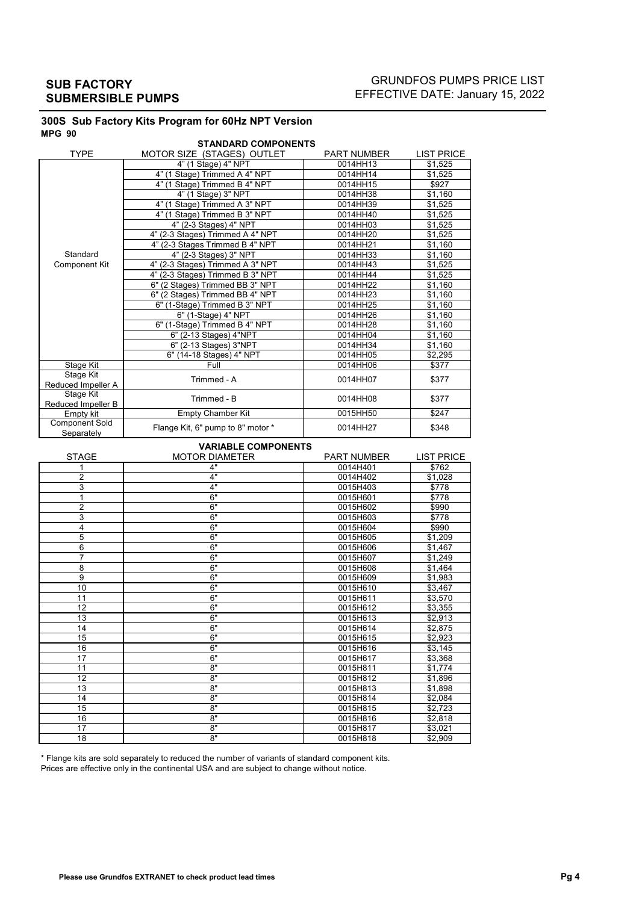## GRUNDFOS PUMPS PRICE LIST EFFECTIVE DATE: January 15, 2022

#### **300S Sub Factory Kits Program for 60Hz NPT Version MPG 90**

|                                     | <b>STANDARD COMPONENTS</b>        |                    |                   |
|-------------------------------------|-----------------------------------|--------------------|-------------------|
| <b>TYPE</b>                         | MOTOR SIZE (STAGES) OUTLET        | <b>PART NUMBER</b> | <b>LIST PRICE</b> |
|                                     | 4" (1 Stage) 4" NPT               | 0014HH13           | \$1,525           |
|                                     | 4" (1 Stage) Trimmed A 4" NPT     | 0014HH14           | \$1,525           |
|                                     | 4" (1 Stage) Trimmed B 4" NPT     | 0014HH15           | \$927             |
|                                     | 4" (1 Stage) 3" NPT               | 0014HH38           | \$1,160           |
|                                     | 4" (1 Stage) Trimmed A 3" NPT     | 0014HH39           | \$1,525           |
|                                     | 4" (1 Stage) Trimmed B 3" NPT     | 0014HH40           | \$1,525           |
|                                     | 4" (2-3 Stages) 4" NPT            | 0014HH03           | \$1,525           |
|                                     | 4" (2-3 Stages) Trimmed A 4" NPT  | 0014HH20           | \$1,525           |
|                                     | 4" (2-3 Stages Trimmed B 4" NPT   | 0014HH21           | \$1,160           |
| Standard                            | 4" (2-3 Stages) 3" NPT            | 0014HH33           | \$1,160           |
| <b>Component Kit</b>                | 4" (2-3 Stages) Trimmed A 3" NPT  | 0014HH43           | \$1,525           |
|                                     | 4" (2-3 Stages) Trimmed B 3" NPT  | 0014HH44           | \$1,525           |
|                                     | 6" (2 Stages) Trimmed BB 3" NPT   | 0014HH22           | \$1,160           |
|                                     | 6" (2 Stages) Trimmed BB 4" NPT   | 0014HH23           | \$1.160           |
|                                     | 6" (1-Stage) Trimmed B 3" NPT     | 0014HH25           | \$1,160           |
|                                     | 6" (1-Stage) 4" NPT               | 0014HH26           | \$1,160           |
|                                     | 6" (1-Stage) Trimmed B 4" NPT     | 0014HH28           | \$1.160           |
|                                     | 6" (2-13 Stages) 4"NPT            | 0014HH04           | \$1,160           |
|                                     | 6" (2-13 Stages) 3"NPT            | 0014HH34           | \$1,160           |
|                                     | 6" (14-18 Stages) 4" NPT          | 0014HH05           | \$2,295           |
| Stage Kit                           | Full                              | 0014HH06           | \$377             |
| Stage Kit                           | Trimmed - A                       | 0014HH07           | \$377             |
| Reduced Impeller A                  |                                   |                    |                   |
| Stage Kit                           | Trimmed - B                       | 0014HH08           | \$377             |
| Reduced Impeller B                  |                                   |                    |                   |
| Empty kit                           | <b>Empty Chamber Kit</b>          | 0015HH50           | \$247             |
| <b>Component Sold</b><br>Separately | Flange Kit, 6" pump to 8" motor * | 0014HH27           | \$348             |

### **VARIABLE COMPONENTS**

| <b>STAGE</b>   | <b>MOTOR DIAMETER</b> | <b>PART NUMBER</b> | <b>LIST PRICE</b> |
|----------------|-----------------------|--------------------|-------------------|
|                | 4"                    | 0014H401           | \$762             |
| 2              | 4"                    | 0014H402           | \$1,028           |
| 3              | 4"                    | 0015H403           | \$778             |
|                | 6"                    | 0015H601           | \$778             |
| $\overline{2}$ | 6"                    | 0015H602           | \$990             |
| 3              | 6"                    | 0015H603           | \$778             |
| 4              | 6"                    | 0015H604           | \$990             |
| 5              | 6"                    | 0015H605           | \$1.209           |
| 6              | 6"                    | 0015H606           | \$1,467           |
| $\overline{7}$ | 6"                    | 0015H607           | \$1,249           |
| 8              | 6"                    | 0015H608           | \$1,464           |
| $\overline{9}$ | 6"                    | 0015H609           | \$1,983           |
| 10             | 6"                    | 0015H610           | \$3,467           |
| 11             | 6"                    | 0015H611           | \$3,570           |
| 12             | 6"                    | 0015H612           | \$3,355           |
| 13             | 6"                    | 0015H613           | \$2,913           |
| 14             | 6"                    | 0015H614           | \$2,875           |
| 15             | 6"                    | 0015H615           | \$2,923           |
| 16             | 6"                    | 0015H616           | \$3,145           |
| 17             | 6"                    | 0015H617           | \$3,368           |
| 11             | 8"                    | 0015H811           | \$1,774           |
| 12             | 8"                    | 0015H812           | \$1,896           |
| 13             | 8"                    | 0015H813           | \$1,898           |
| 14             | 8"                    | 0015H814           | \$2,084           |
| 15             | 8"                    | 0015H815           | \$2,723           |
| 16             | 8"                    | 0015H816           | \$2,818           |
| 17             | 8"                    | 0015H817           | \$3,021           |
| 18             | 8"                    | 0015H818           | \$2,909           |

\* Flange kits are sold separately to reduced the number of variants of standard component kits.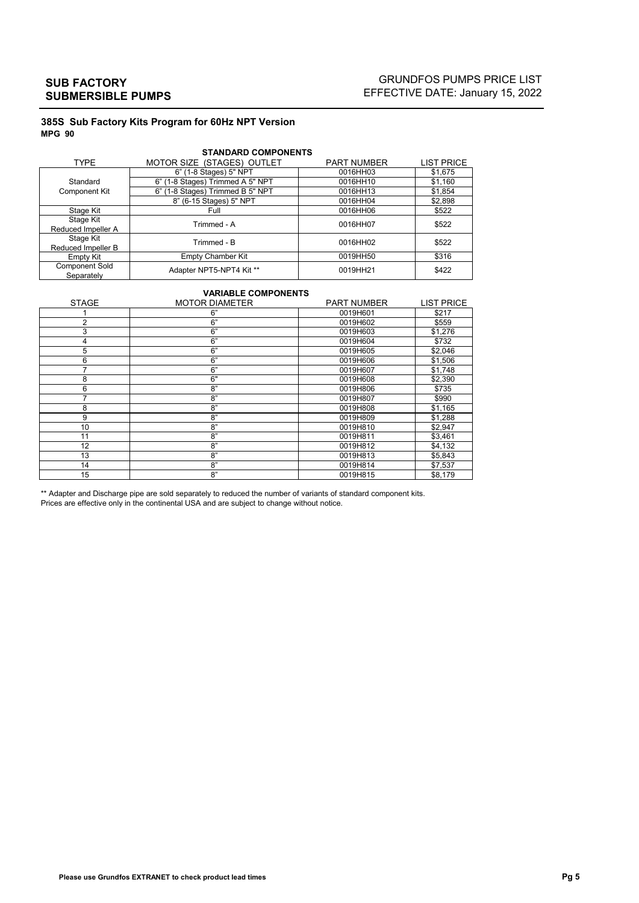## GRUNDFOS PUMPS PRICE LIST EFFECTIVE DATE: January 15, 2022

#### **385S Sub Factory Kits Program for 60Hz NPT Version MPG 90**

| <b>STANDARD COMPONENTS</b> |                                  |                    |                   |  |
|----------------------------|----------------------------------|--------------------|-------------------|--|
| <b>TYPE</b>                | MOTOR SIZE (STAGES) OUTLET       | <b>PART NUMBER</b> | <b>LIST PRICE</b> |  |
|                            | 6" (1-8 Stages) 5" NPT           | 0016HH03           | \$1,675           |  |
| Standard                   | 6" (1-8 Stages) Trimmed A 5" NPT | 0016HH10           | \$1,160           |  |
| Component Kit              | 6" (1-8 Stages) Trimmed B 5" NPT | 0016HH13           | \$1,854           |  |
|                            | 8" (6-15 Stages) 5" NPT          | 0016HH04           | \$2,898           |  |
| Stage Kit                  | Full                             | 0016HH06           | \$522             |  |
| Stage Kit                  | Trimmed - A                      | 0016HH07           | \$522             |  |
| Reduced Impeller A         |                                  |                    |                   |  |
| Stage Kit                  | Trimmed - R                      | 0016HH02           | \$522             |  |
| Reduced Impeller B         |                                  |                    |                   |  |
| Empty Kit                  | <b>Empty Chamber Kit</b>         | 0019HH50           | \$316             |  |
| <b>Component Sold</b>      | Adapter NPT5-NPT4 Kit **         | 0019HH21           | \$422             |  |
| Separately                 |                                  |                    |                   |  |

### **VARIABLE COMPONENTS**

| <b>STAGE</b>   | <b>MOTOR DIAMETER</b> | <b>PART NUMBER</b> | <b>LIST PRICE</b> |
|----------------|-----------------------|--------------------|-------------------|
|                | 6"                    | 0019H601           | \$217             |
| $\overline{2}$ | 6"                    | 0019H602           | \$559             |
| 3              | 6"                    | 0019H603           | \$1,276           |
| 4              | 6"                    | 0019H604           | \$732             |
| 5              | 6"                    | 0019H605           | \$2,046           |
| 6              | 6"                    | 0019H606           | \$1,506           |
| 7              | 6"                    | 0019H607           | \$1,748           |
| 8              | 6"                    | 0019H608           | \$2,390           |
| 6              | 8"                    | 0019H806           | \$735             |
| 7              | 8"                    | 0019H807           | \$990             |
| 8              | 8"                    | 0019H808           | \$1,165           |
| 9              | 8"                    | 0019H809           | \$1,288           |
| 10             | 8"                    | 0019H810           | \$2,947           |
| 11             | 8"                    | 0019H811           | \$3,461           |
| 12             | 8"                    | 0019H812           | \$4,132           |
| 13             | 8"                    | 0019H813           | \$5,843           |
| 14             | 8"                    | 0019H814           | \$7,537           |
| 15             | 8"                    | 0019H815           | \$8.179           |

\*\* Adapter and Discharge pipe are sold separately to reduced the number of variants of standard component kits.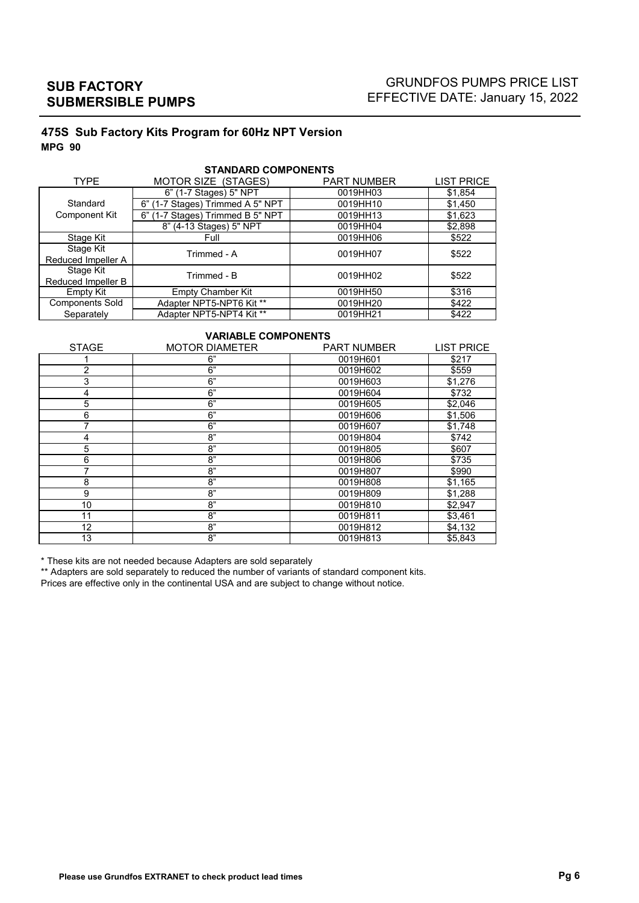## GRUNDFOS PUMPS PRICE LIST EFFECTIVE DATE: January 15, 2022

## **475S Sub Factory Kits Program for 60Hz NPT Version MPG 90**

| <b>TYPE</b>            | MOTOR SIZE (STAGES)                 | <b>PART NUMBER</b> | <b>LIST PRICE</b> |
|------------------------|-------------------------------------|--------------------|-------------------|
|                        | 6" (1-7 Stages) 5" NPT              | 0019HH03           | \$1,854           |
| Standard               | 6" (1-7 Stages) Trimmed A 5" NPT    | 0019HH10           | \$1,450           |
| Component Kit          | 6" (1-7 Stages) Trimmed B 5" NPT    | 0019HH13           | \$1,623           |
|                        | 8" (4-13 Stages) 5" NPT             | 0019HH04           | \$2,898           |
| Stage Kit              | Full                                | 0019HH06           | \$522             |
| Stage Kit              | Trimmed - A                         | 0019HH07           | \$522             |
| Reduced Impeller A     |                                     |                    |                   |
| Stage Kit              | Trimmed - B                         | 0019HH02           | \$522             |
| Reduced Impeller B     |                                     |                    |                   |
| Empty Kit              | <b>Empty Chamber Kit</b>            | 0019HH50           | \$316             |
| <b>Components Sold</b> | Adapter NPT5-NPT6 Kit **            | 0019HH20           | \$422             |
| Separately             | Adapter NPT5-NPT4 Kit <sup>**</sup> | 0019HH21           | \$422             |

#### **STANDARD COMPONENTS**

### **VARIABLE COMPONENTS**

| <b>STAGE</b>   | <b>MOTOR DIAMETER</b> | <b>PART NUMBER</b> | <b>LIST PRICE</b> |
|----------------|-----------------------|--------------------|-------------------|
|                | 6"                    | 0019H601           | \$217             |
| $\overline{2}$ | 6"                    | 0019H602           | \$559             |
| 3              | 6"                    | 0019H603           | \$1,276           |
| 4              | 6"                    | 0019H604           | \$732             |
| 5              | 6"                    | 0019H605           | \$2,046           |
| 6              | 6"                    | 0019H606           | \$1,506           |
| 7              | 6"                    | 0019H607           | \$1,748           |
| 4              | 8"                    | 0019H804           | \$742             |
| 5              | 8"                    | 0019H805           | \$607             |
| 6              | 8"                    | 0019H806           | \$735             |
|                | 8"                    | 0019H807           | \$990             |
| 8              | 8"                    | 0019H808           | \$1,165           |
| 9              | 8"                    | 0019H809           | \$1,288           |
| 10             | 8"                    | 0019H810           | \$2,947           |
| 11             | 8"                    | 0019H811           | \$3,461           |
| 12             | 8"                    | 0019H812           | \$4,132           |
| 13             | 8"                    | 0019H813           | \$5,843           |

\* These kits are not needed because Adapters are sold separately

\*\* Adapters are sold separately to reduced the number of variants of standard component kits.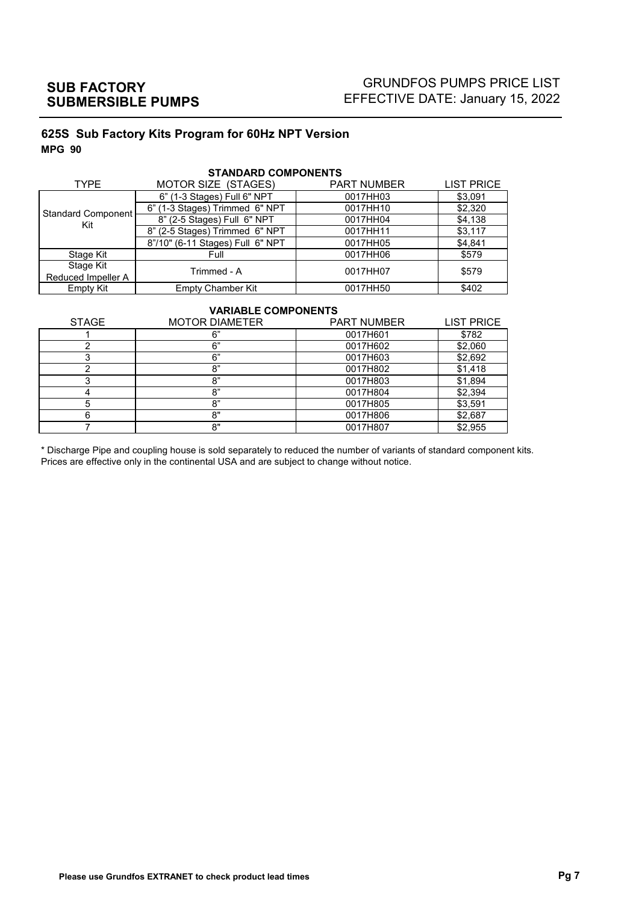# GRUNDFOS PUMPS PRICE LIST EFFECTIVE DATE: January 15, 2022

## **625S Sub Factory Kits Program for 60Hz NPT Version MPG 90**

| <b>TYPE</b>        | MOTOR SIZE (STAGES)              | <b>PART NUMBER</b> | <b>LIST PRICE</b> |
|--------------------|----------------------------------|--------------------|-------------------|
|                    | 6" (1-3 Stages) Full 6" NPT      | 0017HH03           | \$3,091           |
| Standard Component | 6" (1-3 Stages) Trimmed 6" NPT   | 0017HH10           | \$2,320           |
| Kit                | 8" (2-5 Stages) Full 6" NPT      | 0017HH04           | \$4,138           |
|                    | 8" (2-5 Stages) Trimmed 6" NPT   | 0017HH11           | \$3,117           |
|                    | 8"/10" (6-11 Stages) Full 6" NPT | 0017HH05           | \$4,841           |
| Stage Kit          | Full                             | 0017HH06           | \$579             |
| Stage Kit          | Trimmed - A                      | 0017HH07           | \$579             |
| Reduced Impeller A |                                  |                    |                   |
| Empty Kit          | <b>Empty Chamber Kit</b>         | 0017HH50           | \$402             |

#### **STANDARD COMPONENTS**

#### **VARIABLE COMPONENTS**

| <b>STAGE</b> | <b>MOTOR DIAMETER</b> | <b>PART NUMBER</b> | <b>LIST PRICE</b> |
|--------------|-----------------------|--------------------|-------------------|
|              | հ"                    | 0017H601           | \$782             |
|              | 6"                    | 0017H602           | \$2,060           |
|              | 6"                    | 0017H603           | \$2,692           |
|              | 8"                    | 0017H802           | \$1,418           |
|              | 8"                    | 0017H803           | \$1,894           |
|              | 8"                    | 0017H804           | \$2,394           |
|              | 8"                    | 0017H805           | \$3,591           |
|              | 8"                    | 0017H806           | \$2,687           |
|              | 8"                    | 0017H807           | \$2,955           |

\* Discharge Pipe and coupling house is sold separately to reduced the number of variants of standard component kits. Prices are effective only in the continental USA and are subject to change without notice.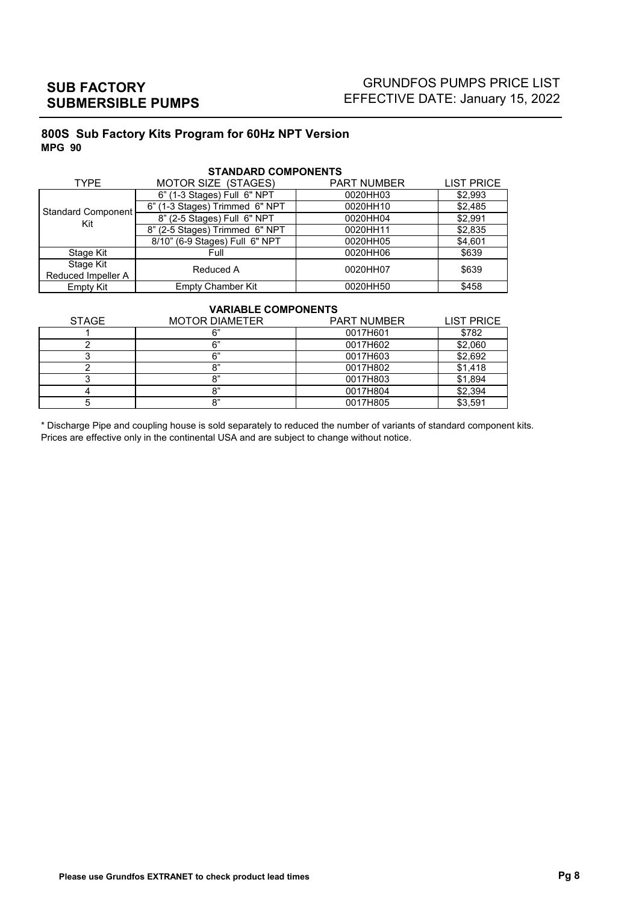# GRUNDFOS PUMPS PRICE LIST EFFECTIVE DATE: January 15, 2022

## **800S Sub Factory Kits Program for 60Hz NPT Version MPG 90**

| <b>TYPE</b>        | MOTOR SIZE (STAGES)            | <b>PART NUMBER</b> | <b>LIST PRICE</b> |  |  |  |  |  |  |
|--------------------|--------------------------------|--------------------|-------------------|--|--|--|--|--|--|
|                    | 6" (1-3 Stages) Full 6" NPT    | 0020HH03           | \$2,993           |  |  |  |  |  |  |
| Standard Component | 6" (1-3 Stages) Trimmed 6" NPT | 0020HH10           | \$2,485           |  |  |  |  |  |  |
| Kit                | 8" (2-5 Stages) Full 6" NPT    | 0020HH04           | \$2,991           |  |  |  |  |  |  |
|                    | 8" (2-5 Stages) Trimmed 6" NPT | 0020HH11           | \$2,835           |  |  |  |  |  |  |
|                    | 8/10" (6-9 Stages) Full 6" NPT | 0020HH05           | \$4,601           |  |  |  |  |  |  |
| Stage Kit          | Full                           | 0020HH06           | \$639             |  |  |  |  |  |  |
| Stage Kit          | Reduced A                      | 0020HH07           | \$639             |  |  |  |  |  |  |
| Reduced Impeller A |                                |                    |                   |  |  |  |  |  |  |
| Empty Kit          | <b>Empty Chamber Kit</b>       | 0020HH50           | \$458             |  |  |  |  |  |  |

#### **STANDARD COMPONENTS**

#### **VARIABLE COMPONENTS**

| <b>STAGE</b> | <b>MOTOR DIAMETER</b> | <b>PART NUMBER</b> | <b>LIST PRICE</b> |
|--------------|-----------------------|--------------------|-------------------|
|              |                       | 0017H601           | \$782             |
|              | R"                    | 0017H602           | \$2,060           |
|              | 6"                    | 0017H603           | \$2,692           |
|              | ດ"                    | 0017H802           | \$1,418           |
|              | ດ"                    | 0017H803           | \$1,894           |
|              | Ω"                    | 0017H804           | \$2,394           |
|              | ດ"                    | 0017H805           | \$3,591           |

\* Discharge Pipe and coupling house is sold separately to reduced the number of variants of standard component kits. Prices are effective only in the continental USA and are subject to change without notice.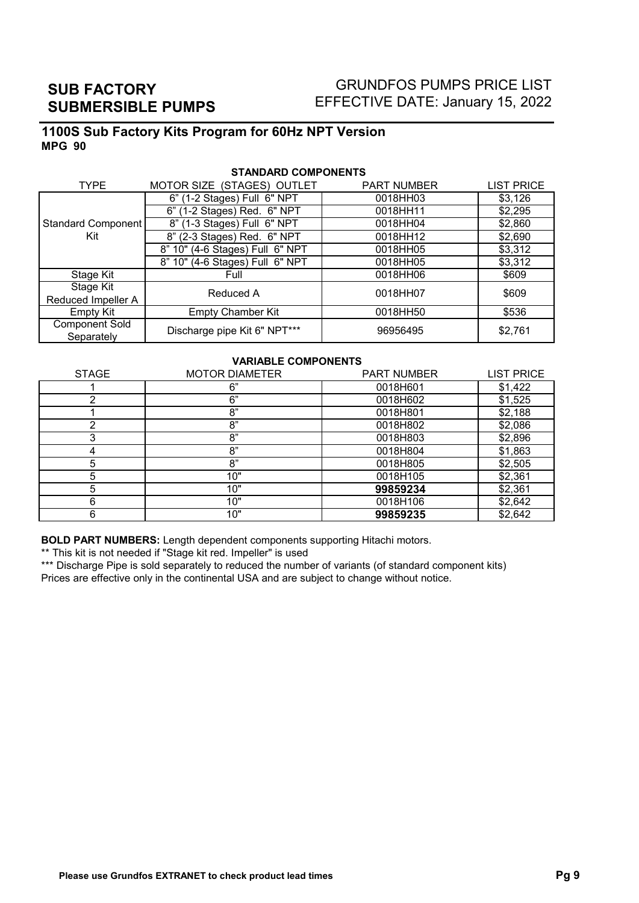# GRUNDFOS PUMPS PRICE LIST EFFECTIVE DATE: January 15, 2022

## **1100S Sub Factory Kits Program for 60Hz NPT Version MPG 90**

| <b>TYPE</b>           | MOTOR SIZE (STAGES) OUTLET      | <b>PART NUMBER</b> | <b>LIST PRICE</b>   |  |  |  |  |  |  |
|-----------------------|---------------------------------|--------------------|---------------------|--|--|--|--|--|--|
|                       | 6" (1-2 Stages) Full 6" NPT     | 0018HH03           | \$3,126             |  |  |  |  |  |  |
|                       | 6" (1-2 Stages) Red. 6" NPT     | 0018HH11           | \$2,295             |  |  |  |  |  |  |
| Standard Component    | 8" (1-3 Stages) Full 6" NPT     | 0018HH04           | \$2,860             |  |  |  |  |  |  |
| Kit                   | 8" (2-3 Stages) Red. 6" NPT     | 0018HH12           | \$2,690             |  |  |  |  |  |  |
|                       | 8" 10" (4-6 Stages) Full 6" NPT | 0018HH05           | \$3,312             |  |  |  |  |  |  |
|                       | 8" 10" (4-6 Stages) Full 6" NPT | 0018HH05           | \$3,312             |  |  |  |  |  |  |
| Stage Kit             | Full                            | 0018HH06           | \$609               |  |  |  |  |  |  |
| Stage Kit             | Reduced A                       | 0018HH07           | \$609               |  |  |  |  |  |  |
| Reduced Impeller A    |                                 |                    |                     |  |  |  |  |  |  |
| Empty Kit             | <b>Empty Chamber Kit</b>        | 0018HH50           | \$536               |  |  |  |  |  |  |
| <b>Component Sold</b> | Discharge pipe Kit 6" NPT***    |                    |                     |  |  |  |  |  |  |
| Separately            |                                 |                    | \$2,761<br>96956495 |  |  |  |  |  |  |

#### **STANDARD COMPONENTS**

#### **VARIABLE COMPONENTS**

| <b>STAGE</b> | <b>MOTOR DIAMETER</b> | <b>PART NUMBER</b> | <b>LIST PRICE</b> |
|--------------|-----------------------|--------------------|-------------------|
|              | 6"                    | 0018H601           | \$1,422           |
|              | 6"                    | 0018H602           | \$1,525           |
|              | 8"                    | 0018H801           | \$2,188           |
| ⌒            | 8"                    | 0018H802           | \$2,086           |
|              | 8"                    | 0018H803           | \$2,896           |
|              | 8"                    | 0018H804           | \$1,863           |
| 5            | 8"                    | 0018H805           | \$2,505           |
| 5            | 10"                   | 0018H105           | \$2,361           |
| 5            | 10"                   | 99859234           | \$2,361           |
| 6            | 10"                   | 0018H106           | \$2,642           |
| 6            | 10"                   | 99859235           | \$2,642           |

**BOLD PART NUMBERS:** Length dependent components supporting Hitachi motors.

\*\* This kit is not needed if "Stage kit red. Impeller" is used

\*\*\* Discharge Pipe is sold separately to reduced the number of variants (of standard component kits) Prices are effective only in the continental USA and are subject to change without notice.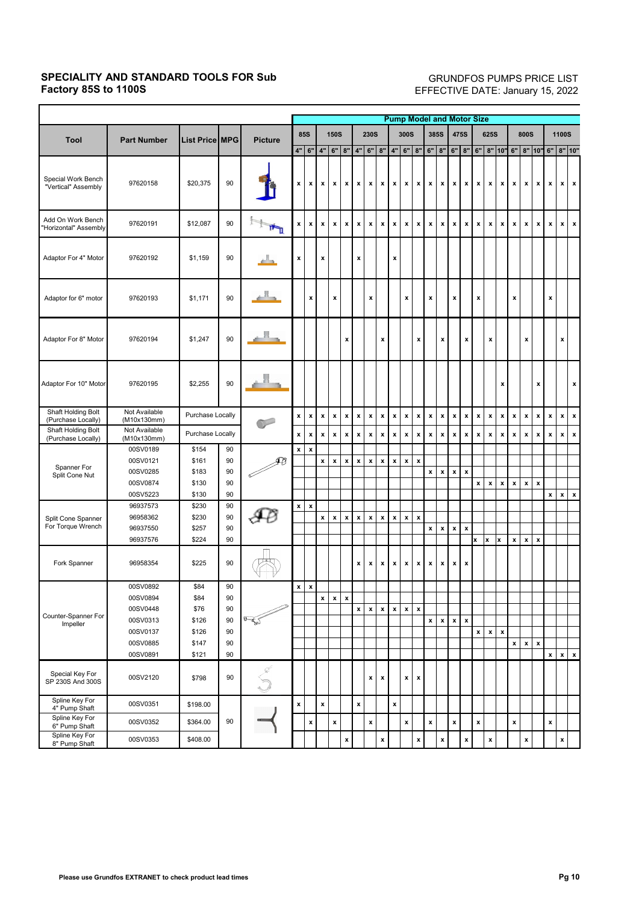## **SPECIALITY AND STANDARD TOOLS FOR Sub Factory 85S to 1100S**

É

### GRUNDFOS PUMPS PRICE LIST EFFECTIVE DATE: January 15, 2022

|                                            |                              |                       |    |                |                    |                    |                    | <b>Pump Model and Motor Size</b> |                    |                           |                    |                    |                           |                    |                           |                    |                    |                           |                    |                           |                    |                           |                           |                    |                           |                    |                    |                    |
|--------------------------------------------|------------------------------|-----------------------|----|----------------|--------------------|--------------------|--------------------|----------------------------------|--------------------|---------------------------|--------------------|--------------------|---------------------------|--------------------|---------------------------|--------------------|--------------------|---------------------------|--------------------|---------------------------|--------------------|---------------------------|---------------------------|--------------------|---------------------------|--------------------|--------------------|--------------------|
|                                            |                              |                       |    |                |                    | <b>85S</b>         |                    | <b>150S</b>                      |                    |                           | <b>230S</b>        |                    |                           | 300S               |                           |                    | 385S               |                           | <b>475S</b>        |                           | <b>625S</b>        |                           |                           | <b>800S</b>        |                           |                    | <b>1100S</b>       |                    |
| <b>Tool</b>                                | <b>Part Number</b>           | <b>List Price MPG</b> |    | <b>Picture</b> | 4"                 | 6"                 | 4"<br>$6"$<br>8"   |                                  | 4"                 | $6"$                      | 8"                 | 4"                 | 6"                        | 8"                 | $\rm 6''$                 | $\rm 8"$           | 6"                 | 8"                        | 6"                 |                           | 8" 10"             | 6" 8" 10"                 |                           |                    | $6"$                      |                    | $8"$ 10"           |                    |
| Special Work Bench<br>"Vertical" Assembly  | 97620158                     | \$20,375              | 90 |                | x                  | x                  | $\mathbf{x}$       | $\pmb{\mathsf{x}}$               | $\pmb{\mathsf{x}}$ | $\boldsymbol{\mathsf{x}}$ | $\pmb{\mathsf{x}}$ | $\boldsymbol{x}$   | $\boldsymbol{\mathsf{x}}$ | x                  | $\boldsymbol{x}$          | $\pmb{\mathsf{x}}$ | $\boldsymbol{x}$   | $\mathbf{x}$              | $\pmb{\mathsf{x}}$ | $\mathbf{x}$              | x                  | $\boldsymbol{\mathsf{x}}$ | $\boldsymbol{\mathsf{x}}$ | x                  | $\pmb{\mathsf{x}}$        | $\pmb{\mathsf{x}}$ |                    | $x \mid x$         |
| Add On Work Bench<br>'Horizontal" Assembly | 97620191                     | \$12,087              | 90 | 'n             | $\pmb{\mathsf{x}}$ | $\pmb{\mathsf{x}}$ | $\pmb{\mathsf{x}}$ | $\pmb{\mathsf{x}}$               | $\pmb{\mathsf{x}}$ | $\pmb{\mathsf{x}}$        | $\pmb{\mathsf{x}}$ | $\pmb{\mathsf{x}}$ | $\pmb{\mathsf{x}}$        | x                  | $\pmb{\mathsf{x}}$        | $\pmb{\mathsf{x}}$ | $\pmb{\mathsf{x}}$ | $\pmb{\mathsf{x}}$        | $\pmb{\mathsf{x}}$ | $\pmb{\chi}$              | $\pmb{\mathsf{x}}$ | $\pmb{\mathsf{x}}$        | $\pmb{\mathsf{x}}$        | $\pmb{\mathsf{x}}$ | $\boldsymbol{\mathsf{x}}$ | $\pmb{\mathsf{x}}$ | $\pmb{\mathsf{x}}$ | $\mathbf{x}$       |
| Adaptor For 4" Motor                       | 97620192                     | \$1,159               | 90 |                | x                  |                    | X                  |                                  |                    | X                         |                    |                    | x                         |                    |                           |                    |                    |                           |                    |                           |                    |                           |                           |                    |                           |                    |                    |                    |
| Adaptor for 6" motor                       | 97620193                     | \$1,171               | 90 |                |                    | $\pmb{\mathsf{x}}$ |                    | $\pmb{\mathsf{x}}$               |                    |                           | $\pmb{\mathsf{x}}$ |                    |                           | x                  |                           | $\pmb{\mathsf{x}}$ |                    | x                         |                    | $\pmb{\mathsf{x}}$        |                    |                           | X                         |                    |                           | x                  |                    |                    |
| Adaptor For 8" Motor                       | 97620194                     | \$1,247               | 90 |                |                    |                    |                    |                                  | $\pmb{\mathsf{x}}$ |                           |                    | $\pmb{\mathsf{x}}$ |                           |                    | x                         |                    | $\pmb{\mathsf{x}}$ |                           | $\pmb{\mathsf{x}}$ |                           | $\pmb{\mathsf{x}}$ |                           |                           | $\pmb{\mathsf{x}}$ |                           |                    | X                  |                    |
| Adaptor For 10" Motor                      | 97620195                     | \$2,255               | 90 |                |                    |                    |                    |                                  |                    |                           |                    |                    |                           |                    |                           |                    |                    |                           |                    |                           |                    | x                         |                           |                    | x                         |                    |                    | $\mathbf{x}$       |
| Shaft Holding Bolt<br>(Purchase Locally)   | Not Available<br>(M10x130mm) | Purchase Locally      |    |                | $\pmb{\mathsf{x}}$ | $\pmb{\mathsf{x}}$ | $\pmb{\mathsf{x}}$ | $\pmb{\mathsf{x}}$               | $\pmb{\mathsf{x}}$ | $\pmb{\mathsf{x}}$        | $\pmb{\mathsf{x}}$ | $\pmb{\mathsf{x}}$ | $\pmb{\mathsf{x}}$        | $\pmb{\mathsf{x}}$ | $\pmb{\mathsf{x}}$        | $\pmb{\mathsf{x}}$ | $\pmb{\mathsf{x}}$ | $\pmb{\mathsf{x}}$        | $\pmb{\mathsf{x}}$ | $\boldsymbol{\mathsf{x}}$ | $\pmb{\mathsf{x}}$ | $\pmb{\mathsf{x}}$        | $\pmb{\mathsf{x}}$        | $\pmb{\mathsf{x}}$ | $\pmb{\mathsf{x}}$        | $\pmb{\mathsf{x}}$ | x                  | $\pmb{\mathsf{x}}$ |
| Shaft Holding Bolt<br>(Purchase Locally)   | Not Available<br>(M10x130mm) | Purchase Locally      |    |                | $\pmb{\mathsf{x}}$ | x                  | $\pmb{\mathsf{x}}$ | $\pmb{\mathsf{x}}$               | $\pmb{\mathsf{x}}$ | $\pmb{\mathsf{x}}$        | $\pmb{\mathsf{x}}$ | $\pmb{\mathsf{x}}$ | $\pmb{\mathsf{x}}$        | $\pmb{\mathsf{x}}$ | $\pmb{\mathsf{x}}$        | $\pmb{\mathsf{x}}$ | x                  | $\pmb{\mathsf{x}}$        | x                  | $\pmb{\mathsf{x}}$        | x                  | $\pmb{\mathsf{x}}$        | $\pmb{\mathsf{x}}$        | $\pmb{\mathsf{x}}$ | $\pmb{\mathsf{x}}$        | $\pmb{\mathsf{x}}$ | X                  | $\pmb{\mathsf{x}}$ |
|                                            | 00SV0189                     | \$154                 | 90 |                | x                  | $\pmb{\mathsf{x}}$ |                    |                                  |                    |                           |                    |                    |                           |                    |                           |                    |                    |                           |                    |                           |                    |                           |                           |                    |                           |                    |                    |                    |
| Spanner For                                | 00SV0121                     | \$161                 | 90 | ₽Ø             |                    |                    | $\pmb{\mathsf{x}}$ | $\pmb{\mathsf{x}}$               | $\pmb{\mathsf{x}}$ | $\pmb{\mathsf{x}}$        | $\pmb{\mathsf{x}}$ | x                  | $\pmb{\mathsf{x}}$        | $\pmb{\mathsf{x}}$ | $\boldsymbol{\mathsf{x}}$ |                    |                    |                           |                    |                           |                    |                           |                           |                    |                           |                    |                    |                    |
| Split Cone Nut                             | 00SV0285                     | \$183                 | 90 |                |                    |                    |                    |                                  |                    |                           |                    |                    |                           |                    |                           | $\pmb{\mathsf{x}}$ | $\pmb{\mathsf{x}}$ | $\pmb{\mathsf{x}}$        | $\pmb{\mathsf{x}}$ |                           |                    |                           |                           |                    |                           |                    |                    |                    |
|                                            | 00SV0874                     | \$130                 | 90 |                |                    |                    |                    |                                  |                    |                           |                    |                    |                           |                    |                           |                    |                    |                           |                    | $\pmb{\mathsf{x}}$        | x                  | x                         | $\pmb{\mathsf{x}}$        | x                  | $\pmb{\mathsf{x}}$        |                    |                    |                    |
|                                            | 00SV5223                     | \$130                 | 90 |                |                    |                    |                    |                                  |                    |                           |                    |                    |                           |                    |                           |                    |                    |                           |                    |                           |                    |                           |                           |                    |                           | $\pmb{\mathsf{x}}$ | $\pmb{\mathsf{x}}$ | $\pmb{\mathsf{x}}$ |
|                                            | 96937573                     | \$230                 | 90 |                | $\pmb{\mathsf{x}}$ | $\pmb{\mathsf{x}}$ |                    |                                  |                    |                           |                    |                    |                           |                    |                           |                    |                    |                           |                    |                           |                    |                           |                           |                    |                           |                    |                    |                    |
| Split Cone Spanner                         | 96958362                     | \$230                 | 90 |                |                    |                    | $\pmb{\mathsf{x}}$ | $\pmb{\mathsf{x}}$               | $\pmb{\mathsf{x}}$ | $\pmb{\mathsf{x}}$        | $\pmb{\mathsf{x}}$ | $\pmb{\mathsf{x}}$ | $\pmb{\mathsf{x}}$        | $\pmb{\mathsf{x}}$ | $\boldsymbol{x}$          |                    |                    |                           |                    |                           |                    |                           |                           |                    |                           |                    |                    |                    |
| For Torque Wrench                          | 96937550                     | \$257                 | 90 |                |                    |                    |                    |                                  |                    |                           |                    |                    |                           |                    |                           | $\pmb{\mathsf{x}}$ | x                  | $\pmb{\mathsf{x}}$        | $\pmb{\mathsf{x}}$ |                           |                    |                           |                           |                    |                           |                    |                    |                    |
|                                            | 96937576                     | \$224                 | 90 |                |                    |                    |                    |                                  |                    |                           |                    |                    |                           |                    |                           |                    |                    |                           |                    | x                         | x                  | x                         | $\pmb{\mathsf{x}}$        | $\pmb{\mathsf{x}}$ | $\pmb{\mathsf{x}}$        |                    |                    |                    |
| Fork Spanner                               | 96958354                     | \$225                 | 90 |                |                    |                    |                    |                                  |                    | x                         | x                  | x                  | x                         | x                  | x                         | x                  | $\boldsymbol{x}$   | $\boldsymbol{\mathsf{x}}$ | x                  |                           |                    |                           |                           |                    |                           |                    |                    |                    |
|                                            | 00SV0892                     | \$84                  | 90 |                | $\mathbf{x}$       | $\pmb{\mathsf{x}}$ |                    |                                  |                    |                           |                    |                    |                           |                    |                           |                    |                    |                           |                    |                           |                    |                           |                           |                    |                           |                    |                    |                    |
|                                            | 00SV0894                     | \$84                  | 90 |                |                    |                    | $\pmb{\mathsf{x}}$ | $\pmb{\mathsf{x}}$               | $\pmb{\mathsf{x}}$ |                           |                    |                    |                           |                    |                           |                    |                    |                           |                    |                           |                    |                           |                           |                    |                           |                    |                    |                    |
|                                            | 00SV0448                     | \$76                  | 90 |                |                    |                    |                    |                                  |                    | $\pmb{\mathsf{x}}$        | $\pmb{\mathsf{x}}$ | $\pmb{\mathsf{x}}$ | $\pmb{\mathsf{x}}$        | $\pmb{\mathsf{x}}$ | $\boldsymbol{\mathsf{x}}$ |                    |                    |                           |                    |                           |                    |                           |                           |                    |                           |                    |                    |                    |
| Counter-Spanner For<br>Impeller            | 00SV0313                     | \$126                 | 90 | $\mathbb{F}$   |                    |                    |                    |                                  |                    |                           |                    |                    |                           |                    |                           | $\pmb{\mathsf{x}}$ | $\pmb{\mathsf{x}}$ | $\pmb{\mathsf{x}}$        | $\pmb{\mathsf{x}}$ |                           |                    |                           |                           |                    |                           |                    |                    |                    |
|                                            | 00SV0137                     | \$126                 | 90 |                |                    |                    |                    |                                  |                    |                           |                    |                    |                           |                    |                           |                    |                    |                           |                    | $\mathbf{x}$              | $\pmb{\mathsf{x}}$ | $\pmb{\mathsf{x}}$        |                           |                    |                           |                    |                    |                    |
|                                            | 00SV0885                     | \$147                 | 90 |                |                    |                    |                    |                                  |                    |                           |                    |                    |                           |                    |                           |                    |                    |                           |                    |                           |                    |                           | $\pmb{\mathsf{x}}$        | $\pmb{\mathsf{x}}$ | $\pmb{\mathsf{x}}$        |                    |                    |                    |
|                                            | 00SV0891                     | \$121                 | 90 |                |                    |                    |                    |                                  |                    |                           |                    |                    |                           |                    |                           |                    |                    |                           |                    |                           |                    |                           |                           |                    |                           | $\pmb{\mathsf{x}}$ | $x \mid x$         |                    |
| Special Key For<br>SP 230S And 300S        | 00SV2120                     | \$798                 | 90 |                |                    |                    |                    |                                  |                    |                           | $\pmb{\mathsf{x}}$ | $\pmb{\mathsf{x}}$ |                           | $\pmb{\mathsf{x}}$ | $\pmb{\mathsf{x}}$        |                    |                    |                           |                    |                           |                    |                           |                           |                    |                           |                    |                    |                    |
| Spline Key For<br>4" Pump Shaft            | 00SV0351                     | \$198.00              |    |                | $\pmb{\mathsf{x}}$ |                    | $\pmb{\mathsf{x}}$ |                                  |                    | $\pmb{\mathsf{x}}$        |                    |                    | $\pmb{\mathsf{x}}$        |                    |                           |                    |                    |                           |                    |                           |                    |                           |                           |                    |                           |                    |                    |                    |
| Spline Key For<br>6" Pump Shaft            | 00SV0352                     | \$364.00              | 90 |                |                    | $\pmb{\mathsf{x}}$ |                    | $\pmb{\mathsf{x}}$               |                    |                           | $\pmb{\mathsf{x}}$ |                    |                           | $\pmb{\mathsf{x}}$ |                           | $\pmb{\mathsf{x}}$ |                    | $\pmb{\mathsf{x}}$        |                    | $\pmb{\mathsf{x}}$        |                    |                           | $\pmb{\mathsf{x}}$        |                    |                           | X                  |                    |                    |
| Spline Key For<br>8" Pump Shaft            | 00SV0353                     | \$408.00              |    |                |                    |                    |                    |                                  | $\pmb{\mathsf{x}}$ |                           |                    | x                  |                           |                    | X                         |                    | $\pmb{\mathsf{x}}$ |                           | x                  |                           | x                  |                           |                           | X                  |                           |                    | X                  |                    |